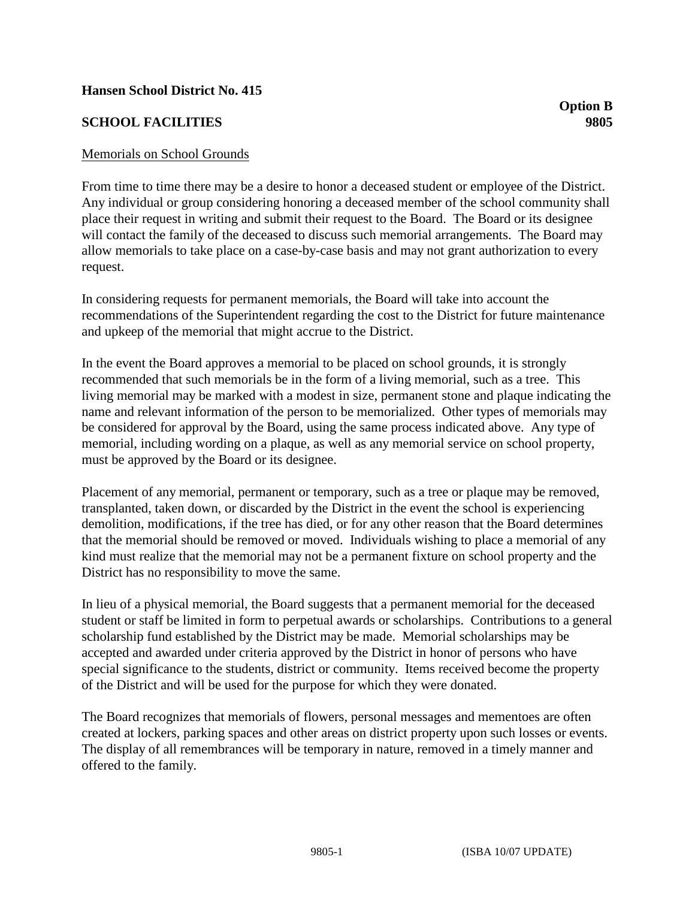## **Hansen School District No. 415**

## **SCHOOL FACILITIES 9805**

## Memorials on School Grounds

From time to time there may be a desire to honor a deceased student or employee of the District. Any individual or group considering honoring a deceased member of the school community shall place their request in writing and submit their request to the Board. The Board or its designee will contact the family of the deceased to discuss such memorial arrangements. The Board may allow memorials to take place on a case-by-case basis and may not grant authorization to every request.

In considering requests for permanent memorials, the Board will take into account the recommendations of the Superintendent regarding the cost to the District for future maintenance and upkeep of the memorial that might accrue to the District.

In the event the Board approves a memorial to be placed on school grounds, it is strongly recommended that such memorials be in the form of a living memorial, such as a tree. This living memorial may be marked with a modest in size, permanent stone and plaque indicating the name and relevant information of the person to be memorialized. Other types of memorials may be considered for approval by the Board, using the same process indicated above. Any type of memorial, including wording on a plaque, as well as any memorial service on school property, must be approved by the Board or its designee.

Placement of any memorial, permanent or temporary, such as a tree or plaque may be removed, transplanted, taken down, or discarded by the District in the event the school is experiencing demolition, modifications, if the tree has died, or for any other reason that the Board determines that the memorial should be removed or moved. Individuals wishing to place a memorial of any kind must realize that the memorial may not be a permanent fixture on school property and the District has no responsibility to move the same.

In lieu of a physical memorial, the Board suggests that a permanent memorial for the deceased student or staff be limited in form to perpetual awards or scholarships. Contributions to a general scholarship fund established by the District may be made. Memorial scholarships may be accepted and awarded under criteria approved by the District in honor of persons who have special significance to the students, district or community. Items received become the property of the District and will be used for the purpose for which they were donated.

The Board recognizes that memorials of flowers, personal messages and mementoes are often created at lockers, parking spaces and other areas on district property upon such losses or events. The display of all remembrances will be temporary in nature, removed in a timely manner and offered to the family.